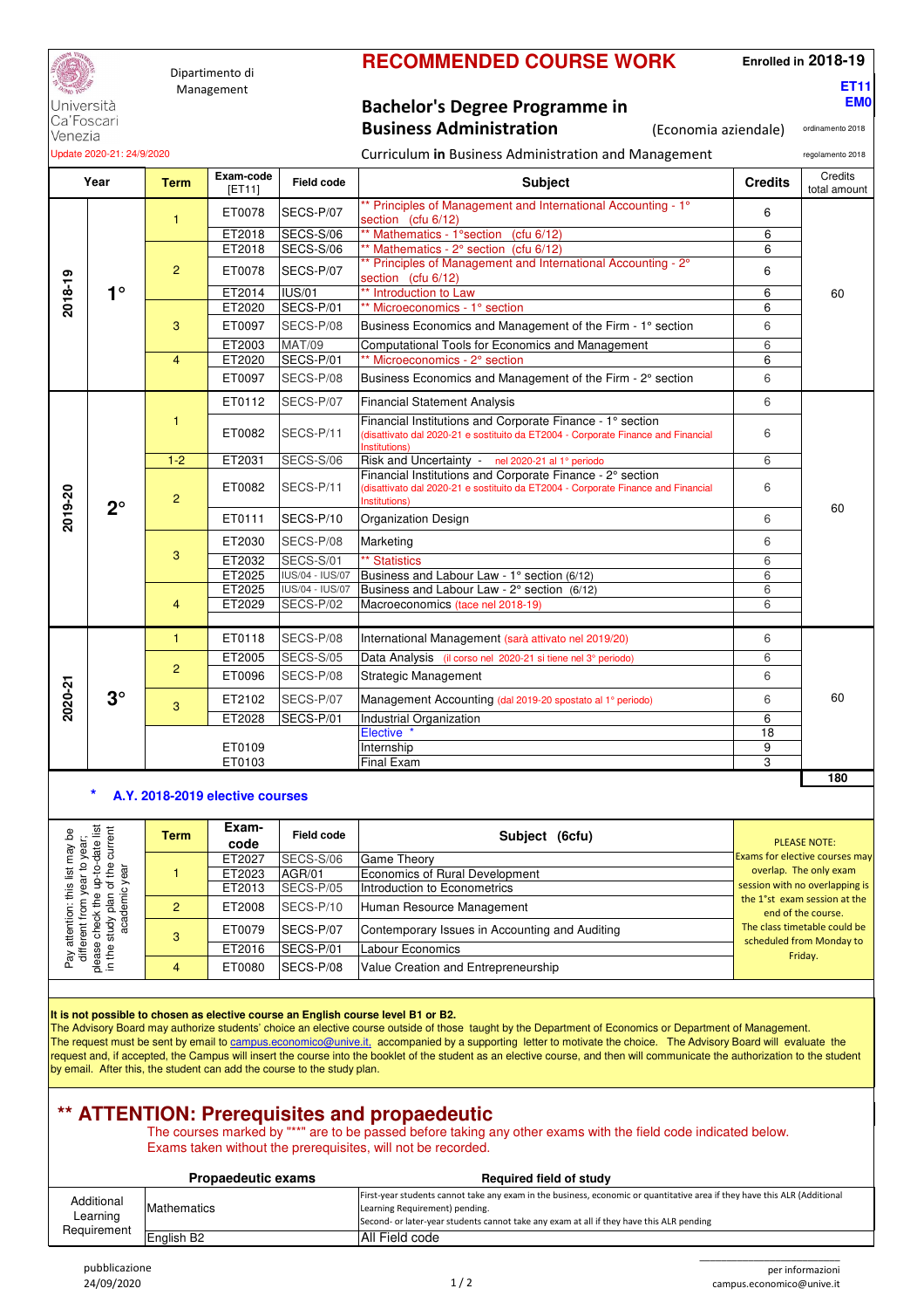

Dipartimento di Management

### **RECOMMENDED COURSE WORK**

**Enrolled in 2018-19**

**ET11 EM0**

Università Ca'Foscari Venezia

**Bachelor's Degree Programme in Business Administration** (Economia aziendale)

ordinamento 2018

| Update 2020-21: 24/9/2020 |             |                |                     |                   | Curriculum in Business Administration and Management                                                                                                            |                |                         |  |
|---------------------------|-------------|----------------|---------------------|-------------------|-----------------------------------------------------------------------------------------------------------------------------------------------------------------|----------------|-------------------------|--|
| Year                      |             | <b>Term</b>    | Exam-code<br>[ET11] | <b>Field code</b> | <b>Subject</b>                                                                                                                                                  | <b>Credits</b> | Credits<br>total amount |  |
|                           |             | $\mathbf{1}$   | ET0078              | SECS-P/07         | ** Principles of Management and International Accounting - 1°<br>section (cfu 6/12)                                                                             | 6              |                         |  |
| 2018-19                   |             |                | ET2018              | SECS-S/06         | ** Mathematics - 1°section (cfu 6/12)                                                                                                                           | 6              |                         |  |
|                           |             |                | ET2018              | SECS-S/06         | ** Mathematics - 2° section (cfu 6/12)                                                                                                                          | 6              |                         |  |
|                           |             | 2              | ET0078              | SECS-P/07         | ** Principles of Management and International Accounting - 2°<br>section (cfu 6/12)                                                                             | 6              |                         |  |
|                           | $1^{\circ}$ |                | ET2014              | <b>IUS/01</b>     | ** Introduction to Law                                                                                                                                          | 6              | 60                      |  |
|                           |             |                | ET2020              | SECS-P/01         | ** Microeconomics - 1° section                                                                                                                                  | 6              |                         |  |
|                           |             | 3              | ET0097              | SECS-P/08         | Business Economics and Management of the Firm - 1° section                                                                                                      | 6              |                         |  |
|                           |             |                | ET2003              | <b>MAT/09</b>     | Computational Tools for Economics and Management                                                                                                                | 6              |                         |  |
|                           |             | $\overline{4}$ | ET2020              | SECS-P/01         | ** Microeconomics - 2° section                                                                                                                                  | 6              |                         |  |
|                           |             |                | ET0097              | SECS-P/08         | Business Economics and Management of the Firm - 2° section                                                                                                      | 6              |                         |  |
|                           | $2^{\circ}$ |                | ET0112              | SECS-P/07         | <b>Financial Statement Analysis</b>                                                                                                                             | 6              |                         |  |
|                           |             | 1              | ET0082              | SECS-P/11         | Financial Institutions and Corporate Finance - 1° section<br>(disattivato dal 2020-21 e sostituito da ET2004 - Corporate Finance and Financial<br>Institutions) | 6              |                         |  |
|                           |             | $1 - 2$        | ET2031              | SECS-S/06         | Risk and Uncertainty - nel 2020-21 al 1º periodo                                                                                                                | 6              |                         |  |
|                           |             | $\overline{2}$ | ET0082              | SECS-P/11         | Financial Institutions and Corporate Finance - 2° section<br>(disattivato dal 2020-21 e sostituito da ET2004 - Corporate Finance and Financial<br>Institutions) | 6              |                         |  |
| 2019-20                   |             |                | ET0111              | SECS-P/10         | <b>Organization Design</b>                                                                                                                                      | 6              | 60                      |  |
|                           |             | 3              | ET2030              | SECS-P/08         | Marketing                                                                                                                                                       | 6              |                         |  |
|                           |             |                | ET2032              | SECS-S/01         | <b>** Statistics</b>                                                                                                                                            | 6              |                         |  |
|                           |             |                | ET2025              | IUS/04 - IUS/07   | Business and Labour Law - 1° section (6/12)                                                                                                                     | 6              |                         |  |
|                           |             |                | ET2025              | IUS/04 - IUS/07   | Business and Labour Law - 2° section (6/12)                                                                                                                     | 6              |                         |  |
|                           |             | $\overline{4}$ | ET2029              | SECS-P/02         | Macroeconomics (tace nel 2018-19)                                                                                                                               | 6              |                         |  |
|                           |             | $\mathbf{1}$   | ET0118              | SECS-P/08         | International Management (sarà attivato nel 2019/20)                                                                                                            | 6              |                         |  |
|                           |             |                | ET2005              | SECS-S/05         | Data Analysis (il corso nel 2020-21 si tiene nel 3º periodo)                                                                                                    | 6              |                         |  |
|                           |             | $\overline{2}$ | ET0096              | SECS-P/08         | <b>Strategic Management</b>                                                                                                                                     | 6              |                         |  |
| 2020-21                   | $3^\circ$   | 3              | ET2102              | SECS-P/07         | Management Accounting (dal 2019-20 spostato al 1º periodo)                                                                                                      | 6              | 60                      |  |
|                           |             |                | ET2028              | SECS-P/01         | Industrial Organization                                                                                                                                         | 6              |                         |  |
|                           |             |                |                     |                   | Elective <sup>*</sup>                                                                                                                                           | 18             |                         |  |
|                           |             |                | ET0109              |                   | Internship                                                                                                                                                      | 9              |                         |  |
|                           |             |                | ET0103              |                   | <b>Final Exam</b>                                                                                                                                               | 3              |                         |  |
|                           |             |                |                     |                   |                                                                                                                                                                 |                | 180                     |  |

#### **\* A.Y. 2018-2019 elective courses**

| 횰 분<br>hay t<br>year<br>date | <b>Term</b> | Exam-<br>code | <b>Field code</b> | Subject (6cfu)                                 | <b>PLEASE NOTE:</b>                                      |  |
|------------------------------|-------------|---------------|-------------------|------------------------------------------------|----------------------------------------------------------|--|
|                              |             | ET2027        | SECS-S/06         | Game Theory                                    | <b>Exams for elective courses may</b>                    |  |
| Ω.                           |             | ET2023        | AGR/01            | Economics of Rural Development                 | overlap. The only exam<br>session with no overlapping is |  |
|                              |             | ET2013        | SECS-P/05         | Introduction to Econometrics                   |                                                          |  |
|                              | 2           | ET2008        | SECS-P/10         | Human Resource Management                      | the 1°st exam session at the<br>end of the course.       |  |
| 훈 픯<br>atter                 |             | ET0079        | SECS-P/07         | Contemporary Issues in Accounting and Auditing | The class timetable could be<br>scheduled from Monday to |  |
| ay attere<br>ease<br>I the : |             | ET2016        | SECS-P/01         | <b>Labour Economics</b>                        | Friday.                                                  |  |
| ᅙᅩ 트                         |             | ET0080        | SECS-P/08         | Value Creation and Entrepreneurship            |                                                          |  |

#### **It is not possible to chosen as elective course an English course level B1 or B2.**

The Advisory Board may authorize students' choice an elective course outside of those taught by the Department of Economics or Department of Management. The request must be sent by email to campus.economico@unive.it, accompanied by a supporting letter to motivate the choice. The Advisory Board will evaluate the request and, if accepted, the Campus will insert the course into the booklet of the student as an elective course, and then will communicate the authorization to the student by email. After this, the student can add the course to the study plan.

## **\*\* ATTENTION: Prerequisites and propaedeutic**

The courses marked by "\*\*" are to be passed before taking any other exams with the field code indicated below. Exams taken without the prerequisites, will not be recorded.

|                        | <b>Propaedeutic exams</b> | <b>Required field of study</b>                                                                                                                                                                                                                          |
|------------------------|---------------------------|---------------------------------------------------------------------------------------------------------------------------------------------------------------------------------------------------------------------------------------------------------|
| Additional<br>Learning | Mathematics               | First-year students cannot take any exam in the business, economic or quantitative area if they have this ALR (Additional<br>Learning Requirement) pending.<br>Second- or later-year students cannot take any exam at all if they have this ALR pending |
| Requirement            | English B <sub>2</sub>    | All Field code                                                                                                                                                                                                                                          |